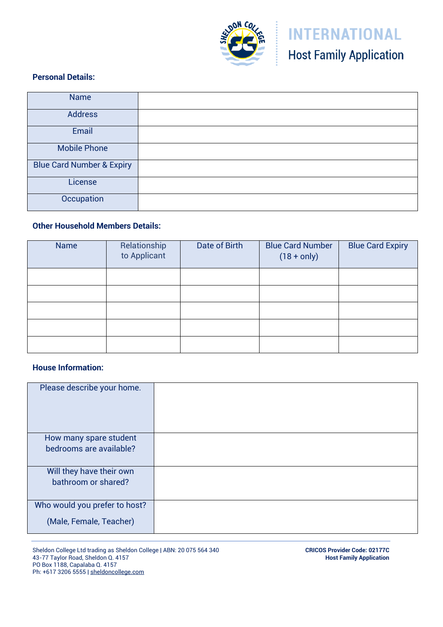

# **INTERNATIONAL Host Family Application**

## **Personal Details:**

| <b>Name</b>                          |  |
|--------------------------------------|--|
| <b>Address</b>                       |  |
| Email                                |  |
| <b>Mobile Phone</b>                  |  |
| <b>Blue Card Number &amp; Expiry</b> |  |
| License                              |  |
| Occupation                           |  |

# **Other Household Members Details:**

| <b>Name</b> | Relationship<br>to Applicant | Date of Birth | <b>Blue Card Number</b><br>$(18 + only)$ | <b>Blue Card Expiry</b> |
|-------------|------------------------------|---------------|------------------------------------------|-------------------------|
|             |                              |               |                                          |                         |
|             |                              |               |                                          |                         |
|             |                              |               |                                          |                         |
|             |                              |               |                                          |                         |
|             |                              |               |                                          |                         |

#### **House Information:**

| Please describe your home.    |  |
|-------------------------------|--|
| How many spare student        |  |
| bedrooms are available?       |  |
| Will they have their own      |  |
| bathroom or shared?           |  |
| Who would you prefer to host? |  |
| (Male, Female, Teacher)       |  |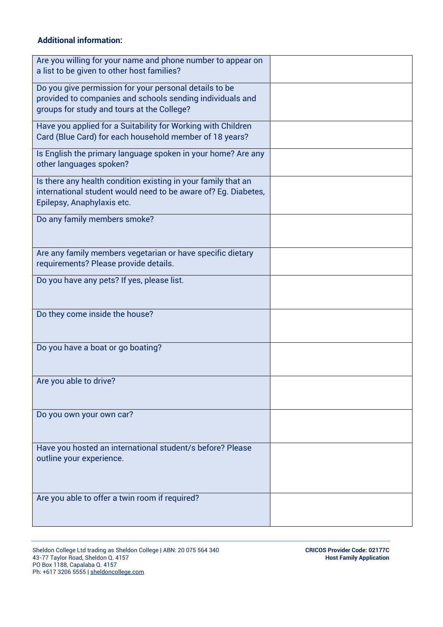## **Additional information:**

| Are you willing for your name and phone number to appear on<br>a list to be given to other host families?                                                         |  |
|-------------------------------------------------------------------------------------------------------------------------------------------------------------------|--|
| Do you give permission for your personal details to be<br>provided to companies and schools sending individuals and<br>groups for study and tours at the College? |  |
| Have you applied for a Suitability for Working with Children<br>Card (Blue Card) for each household member of 18 years?                                           |  |
| Is English the primary language spoken in your home? Are any<br>other languages spoken?                                                                           |  |
| Is there any health condition existing in your family that an<br>international student would need to be aware of? Eg. Diabetes,<br>Epilepsy, Anaphylaxis etc.     |  |
| Do any family members smoke?                                                                                                                                      |  |
| Are any family members vegetarian or have specific dietary<br>requirements? Please provide details.                                                               |  |
| Do you have any pets? If yes, please list.                                                                                                                        |  |
| Do they come inside the house?                                                                                                                                    |  |
| Do you have a boat or go boating?                                                                                                                                 |  |
| Are you able to drive?                                                                                                                                            |  |
| Do you own your own car?                                                                                                                                          |  |
| Have you hosted an international student/s before? Please<br>outline your experience.                                                                             |  |
| Are you able to offer a twin room if required?                                                                                                                    |  |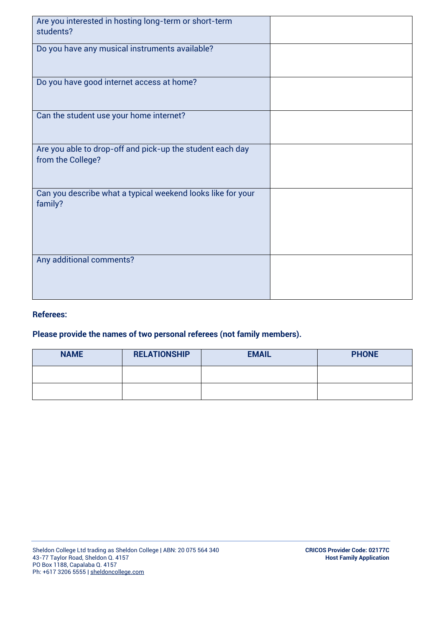| Are you interested in hosting long-term or short-term<br>students?             |  |
|--------------------------------------------------------------------------------|--|
| Do you have any musical instruments available?                                 |  |
| Do you have good internet access at home?                                      |  |
| Can the student use your home internet?                                        |  |
| Are you able to drop-off and pick-up the student each day<br>from the College? |  |
| Can you describe what a typical weekend looks like for your<br>family?         |  |
| Any additional comments?                                                       |  |

#### **Referees:**

# **Please provide the names of two personal referees (not family members).**

| <b>NAME</b> | <b>RELATIONSHIP</b> | <b>EMAIL</b> | <b>PHONE</b> |
|-------------|---------------------|--------------|--------------|
|             |                     |              |              |
|             |                     |              |              |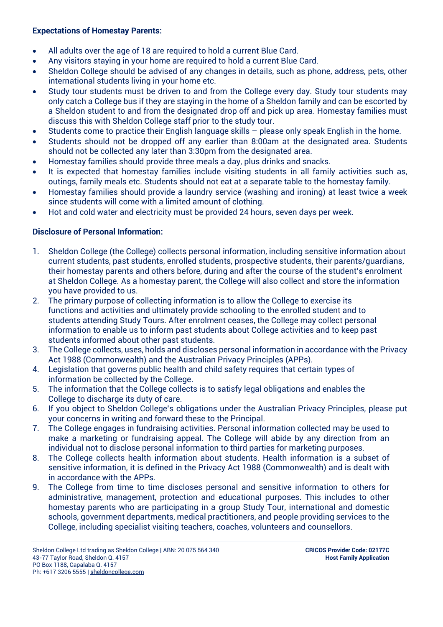#### **Expectations of Homestay Parents:**

- All adults over the age of 18 are required to hold a current Blue Card.
- Any visitors staying in your home are required to hold a current Blue Card.
- Sheldon College should be advised of any changes in details, such as phone, address, pets, other international students living in your home etc.
- Study tour students must be driven to and from the College every day. Study tour students may only catch a College bus if they are staying in the home of a Sheldon family and can be escorted by a Sheldon student to and from the designated drop off and pick up area. Homestay families must discuss this with Sheldon College staff prior to the study tour.
- Students come to practice their English language skills please only speak English in the home.
- Students should not be dropped off any earlier than 8:00am at the designated area. Students should not be collected any later than 3:30pm from the designated area.
- Homestay families should provide three meals a day, plus drinks and snacks.
- It is expected that homestay families include visiting students in all family activities such as, outings, family meals etc. Students should not eat at a separate table to the homestay family.
- Homestay families should provide a laundry service (washing and ironing) at least twice a week since students will come with a limited amount of clothing.
- Hot and cold water and electricity must be provided 24 hours, seven days per week.

## **Disclosure of Personal Information:**

- 1. Sheldon College (the College) collects personal information, including sensitive information about current students, past students, enrolled students, prospective students, their parents/guardians, their homestay parents and others before, during and after the course of the student's enrolment at Sheldon College. As a homestay parent, the College will also collect and store the information you have provided to us.
- 2. The primary purpose of collecting information is to allow the College to exercise its functions and activities and ultimately provide schooling to the enrolled student and to students attending Study Tours. After enrolment ceases, the College may collect personal information to enable us to inform past students about College activities and to keep past students informed about other past students.
- 3. The College collects, uses, holds and discloses personal information in accordance with the Privacy Act 1988 (Commonwealth) and the Australian Privacy Principles (APPs).
- 4. Legislation that governs public health and child safety requires that certain types of information be collected by the College.
- 5. The information that the College collects is to satisfy legal obligations and enables the College to discharge its duty of care.
- 6. If you object to Sheldon College's obligations under the Australian Privacy Principles, please put your concerns in writing and forward these to the Principal.
- 7. The College engages in fundraising activities. Personal information collected may be used to make a marketing or fundraising appeal. The College will abide by any direction from an individual not to disclose personal information to third parties for marketing purposes.
- 8. The College collects health information about students. Health information is a subset of sensitive information, it is defined in the Privacy Act 1988 (Commonwealth) and is dealt with in accordance with the APPs.
- 9. The College from time to time discloses personal and sensitive information to others for administrative, management, protection and educational purposes. This includes to other homestay parents who are participating in a group Study Tour, international and domestic schools, government departments, medical practitioners, and people providing services to the College, including specialist visiting teachers, coaches, volunteers and counsellors.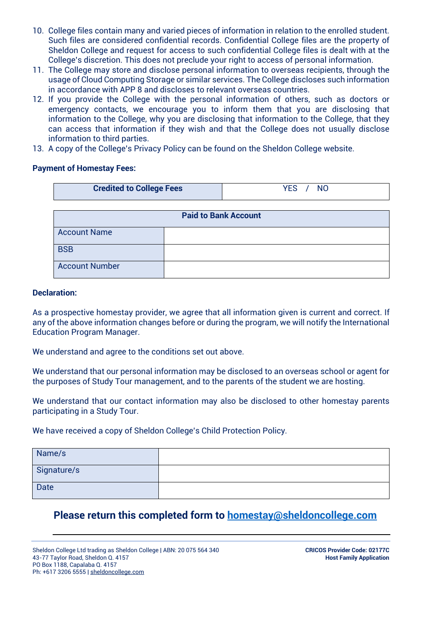- 10. College files contain many and varied pieces of information in relation to the enrolled student. Such files are considered confidential records. Confidential College files are the property of Sheldon College and request for access to such confidential College files is dealt with at the College's discretion. This does not preclude your right to access of personal information.
- 11. The College may store and disclose personal information to overseas recipients, through the usage of Cloud Computing Storage or similar services. The College discloses such information in accordance with APP 8 and discloses to relevant overseas countries.
- 12. If you provide the College with the personal information of others, such as doctors or emergency contacts, we encourage you to inform them that you are disclosing that information to the College, why you are disclosing that information to the College, that they can access that information if they wish and that the College does not usually disclose information to third parties.
- 13. A copy of the College's Privacy Policy can be found on the Sheldon College website.

#### **Payment of Homestay Fees:**

Account Number

| <b>Credited to College Fees</b> |  | YES / NO |  |  |
|---------------------------------|--|----------|--|--|
|                                 |  |          |  |  |
| <b>Paid to Bank Account</b>     |  |          |  |  |
| <b>Account Name</b>             |  |          |  |  |
| <b>BSB</b>                      |  |          |  |  |

#### **Declaration:**

As a prospective homestay provider, we agree that all information given is current and correct. If any of the above information changes before or during the program, we will notify the International Education Program Manager.

We understand and agree to the conditions set out above.

We understand that our personal information may be disclosed to an overseas school or agent for the purposes of Study Tour management, and to the parents of the student we are hosting.

We understand that our contact information may also be disclosed to other homestay parents participating in a Study Tour.

We have received a copy of Sheldon College's Child Protection Policy.

| Name/s      |  |
|-------------|--|
| Signature/s |  |
| <b>Date</b> |  |

# **Please return this completed form to [homestay@sheldoncollege.com](mailto:homestay@sheldoncollege.com)**